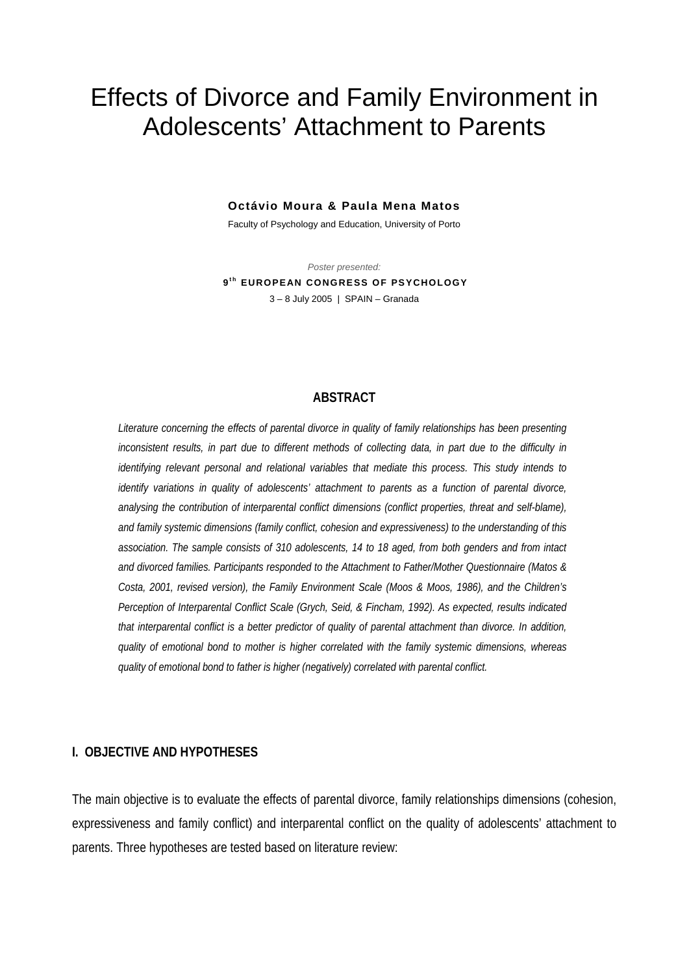# Effects of Divorce and Family Environment in Adolescents' Attachment to Parents

#### **Octávio Moura & Paula Mena Matos**

Faculty of Psychology and Education, University of Porto

*Poster presented:*   $9<sup>th</sup>$  EUROPEAN CONGRESS OF PSYCHOLOGY 3 – 8 July 2005 | SPAIN – Granada

#### **ABSTRACT**

*Literature concerning the effects of parental divorce in quality of family relationships has been presenting inconsistent results, in part due to different methods of collecting data, in part due to the difficulty in identifying relevant personal and relational variables that mediate this process. This study intends to identify variations in quality of adolescents' attachment to parents as a function of parental divorce, analysing the contribution of interparental conflict dimensions (conflict properties, threat and self-blame), and family systemic dimensions (family conflict, cohesion and expressiveness) to the understanding of this association. The sample consists of 310 adolescents, 14 to 18 aged, from both genders and from intact and divorced families. Participants responded to the Attachment to Father/Mother Questionnaire (Matos & Costa, 2001, revised version), the Family Environment Scale (Moos & Moos, 1986), and the Children's Perception of Interparental Conflict Scale (Grych, Seid, & Fincham, 1992). As expected, results indicated that interparental conflict is a better predictor of quality of parental attachment than divorce. In addition, quality of emotional bond to mother is higher correlated with the family systemic dimensions, whereas quality of emotional bond to father is higher (negatively) correlated with parental conflict.* 

#### **I. OBJECTIVE AND HYPOTHESES**

The main objective is to evaluate the effects of parental divorce, family relationships dimensions (cohesion, expressiveness and family conflict) and interparental conflict on the quality of adolescents' attachment to parents. Three hypotheses are tested based on literature review: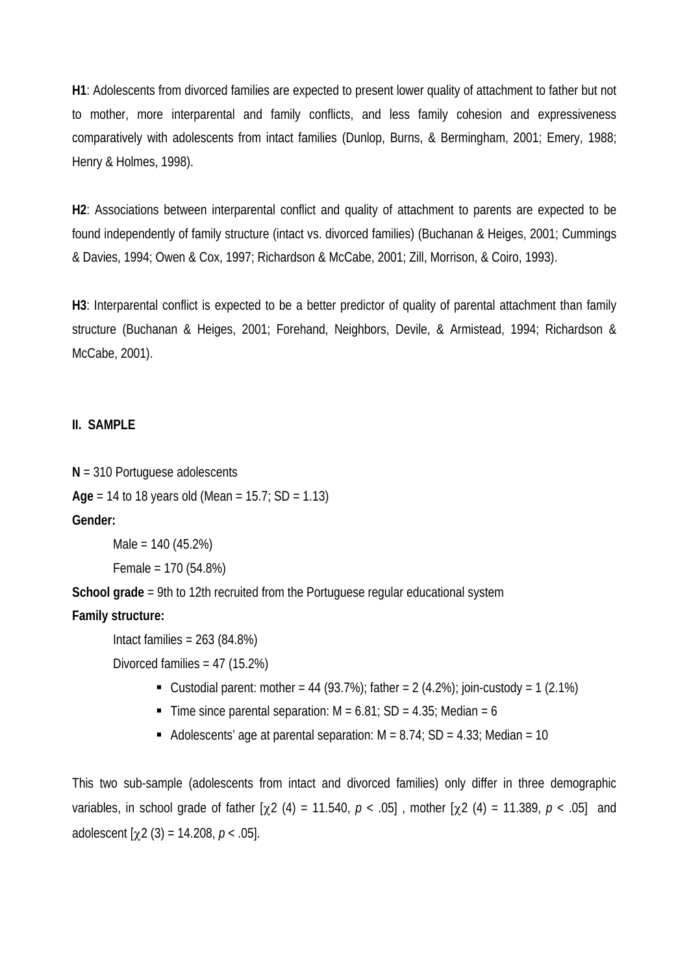**H1**: Adolescents from divorced families are expected to present lower quality of attachment to father but not to mother, more interparental and family conflicts, and less family cohesion and expressiveness comparatively with adolescents from intact families (Dunlop, Burns, & Bermingham, 2001; Emery, 1988; Henry & Holmes, 1998).

**H2**: Associations between interparental conflict and quality of attachment to parents are expected to be found independently of family structure (intact vs. divorced families) (Buchanan & Heiges, 2001; Cummings & Davies, 1994; Owen & Cox, 1997; Richardson & McCabe, 2001; Zill, Morrison, & Coiro, 1993).

**H3**: Interparental conflict is expected to be a better predictor of quality of parental attachment than family structure (Buchanan & Heiges, 2001; Forehand, Neighbors, Devile, & Armistead, 1994; Richardson & McCabe, 2001).

# **II. SAMPLE**

**N** = 310 Portuguese adolescents **Age** = 14 to 18 years old (Mean = 15.7; SD = 1.13) **Gender:**

> Male = 140 (45.2%) Female = 170 (54.8%)

**School grade** = 9th to 12th recruited from the Portuguese regular educational system

# **Family structure:**

Intact families = 263 (84.8%)

Divorced families = 47 (15.2%)

- Custodial parent: mother = 44 (93.7%); father =  $2(4.2%)$ ; join-custody = 1 (2.1%)
- Time since parental separation:  $M = 6.81$ ; SD = 4.35; Median = 6
- Adolescents' age at parental separation:  $M = 8.74$ ; SD = 4.33; Median = 10

This two sub-sample (adolescents from intact and divorced families) only differ in three demographic variables, in school grade of father [χ2 (4) = 11.540, *p* < .05] , mother [χ2 (4) = 11.389, *p* < .05] and adolescent  $[\chi 2 (3) = 14.208, p < .05]$ .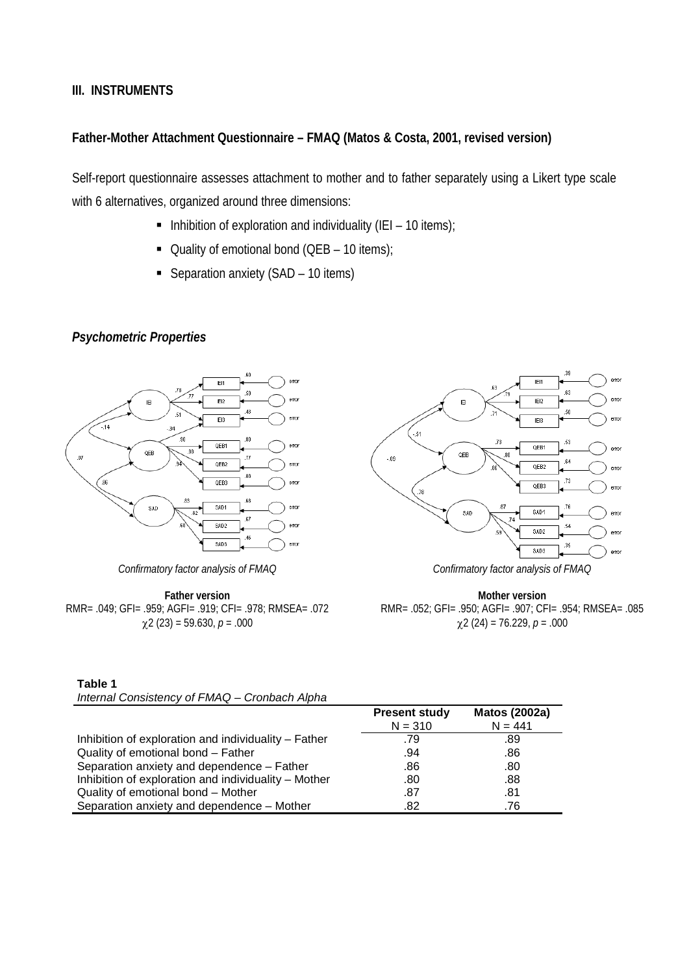### **III. INSTRUMENTS**

# **Father-Mother Attachment Questionnaire – FMAQ (Matos & Costa, 2001, revised version)**

Self-report questionnaire assesses attachment to mother and to father separately using a Likert type scale with 6 alternatives, organized around three dimensions:

- Inhibition of exploration and individuality (IEI 10 items);
- Quality of emotional bond  $(QEB 10$  items);
- Separation anxiety (SAD 10 items)

# *Psychometric Properties*



*Confirmatory factor analysis of FMAQ* 

**Father version**  RMR= .049; GFI= .959; AGFI= .919; CFI= .978; RMSEA= .072 χ2 (23) = 59.630, *p* = .000



*Confirmatory factor analysis of FMAQ* 

**Mother version**  RMR= .052; GFI= .950; AGFI= .907; CFI= .954; RMSEA= .085 χ2 (24) = 76.229, *p* = .000

| Table 1                                       |  |
|-----------------------------------------------|--|
| Internal Consistency of FMAQ - Cronbach Alpha |  |

|                                                      | <b>Present study</b> | <b>Matos (2002a)</b> |
|------------------------------------------------------|----------------------|----------------------|
|                                                      | $N = 310$            | $N = 441$            |
| Inhibition of exploration and individuality – Father | .79                  | .89                  |
| Quality of emotional bond - Father                   | .94                  | .86                  |
| Separation anxiety and dependence - Father           | .86                  | .80                  |
| Inhibition of exploration and individuality – Mother | .80                  | .88                  |
| Quality of emotional bond - Mother                   | .87                  | .81                  |
| Separation anxiety and dependence - Mother           | .82                  | .76                  |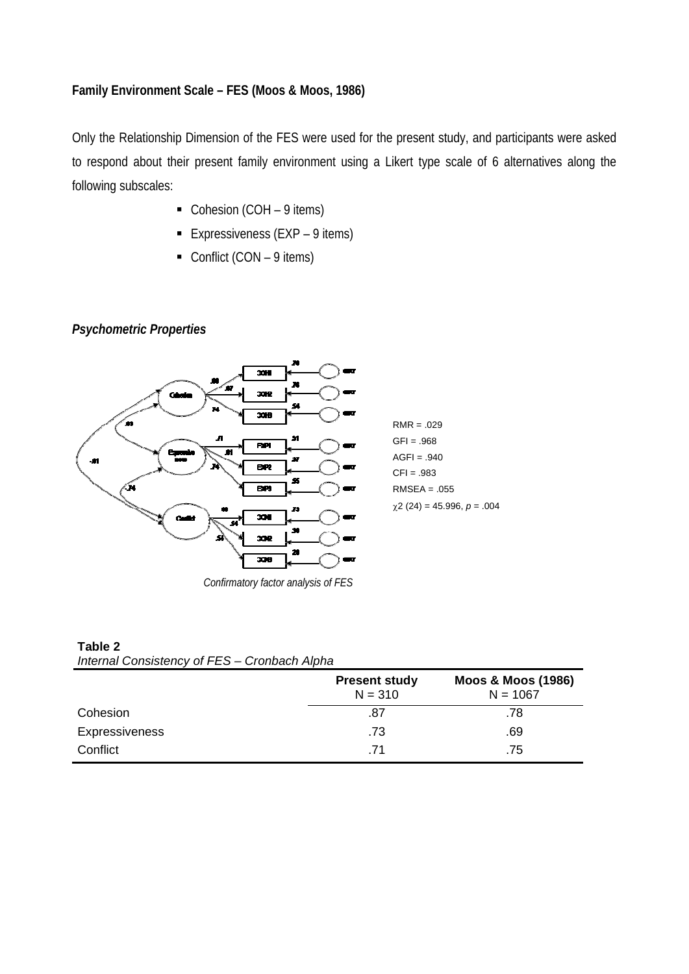## **Family Environment Scale – FES (Moos & Moos, 1986)**

Only the Relationship Dimension of the FES were used for the present study, and participants were asked to respond about their present family environment using a Likert type scale of 6 alternatives along the following subscales:

- Cohesion (COH 9 items)
- Expressiveness ( $EXP 9$  items)
- Conflict (CON  $-$  9 items)

# *Psychometric Properties*

**Table 2** 



*Confirmatory factor analysis of FES*

| Table Z |                                              |  |
|---------|----------------------------------------------|--|
|         | Internal Consistency of FES - Cronbach Alpha |  |

|                       | <b>Present study</b><br>$N = 310$ | <b>Moos &amp; Moos (1986)</b><br>$N = 1067$ |  |
|-----------------------|-----------------------------------|---------------------------------------------|--|
| Cohesion              | .87                               | .78                                         |  |
| <b>Expressiveness</b> | .73                               | .69                                         |  |
| Conflict              | -71                               | .75                                         |  |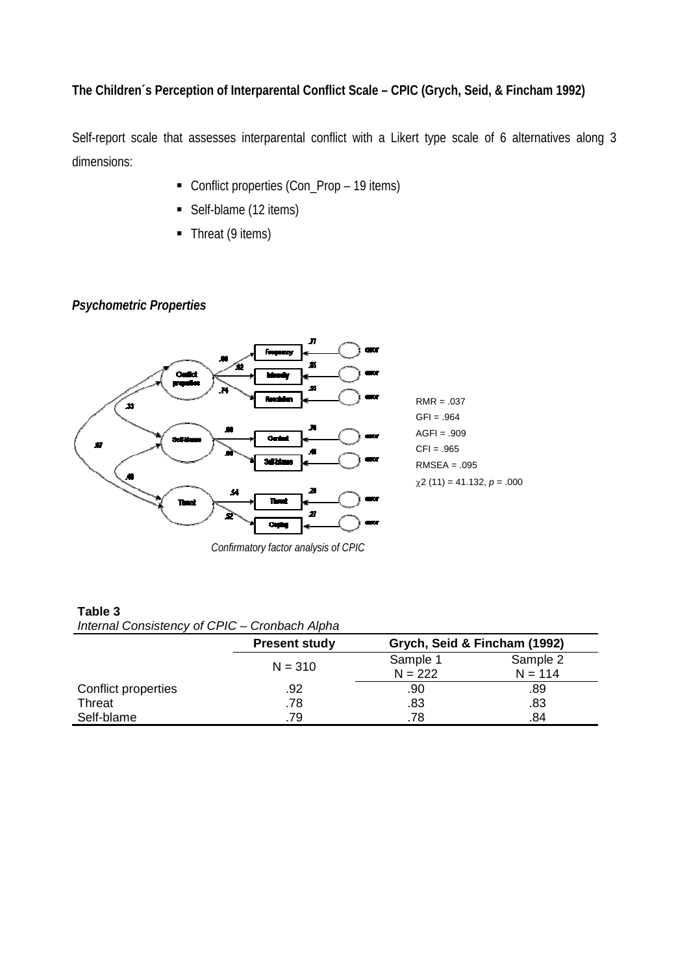# **The Children´s Perception of Interparental Conflict Scale – CPIC (Grych, Seid, & Fincham 1992)**

Self-report scale that assesses interparental conflict with a Likert type scale of 6 alternatives along 3 dimensions:

- Conflict properties (Con\_Prop 19 items)
- Self-blame (12 items)
- Threat (9 items)

# *Psychometric Properties*



*Confirmatory factor analysis of CPIC*

#### **Table 3**  *Internal Consistency of CPIC – Cronbach Alpha*

|     | Grych, Seid & Fincham (1992)      |           |  |
|-----|-----------------------------------|-----------|--|
|     | Sample 1                          | Sample 2  |  |
|     | $N = 222$                         | $N = 114$ |  |
| .92 | .90                               | .89       |  |
| .78 | .83                               | .83       |  |
| .79 | .78                               | .84       |  |
|     | <b>Present study</b><br>$N = 310$ |           |  |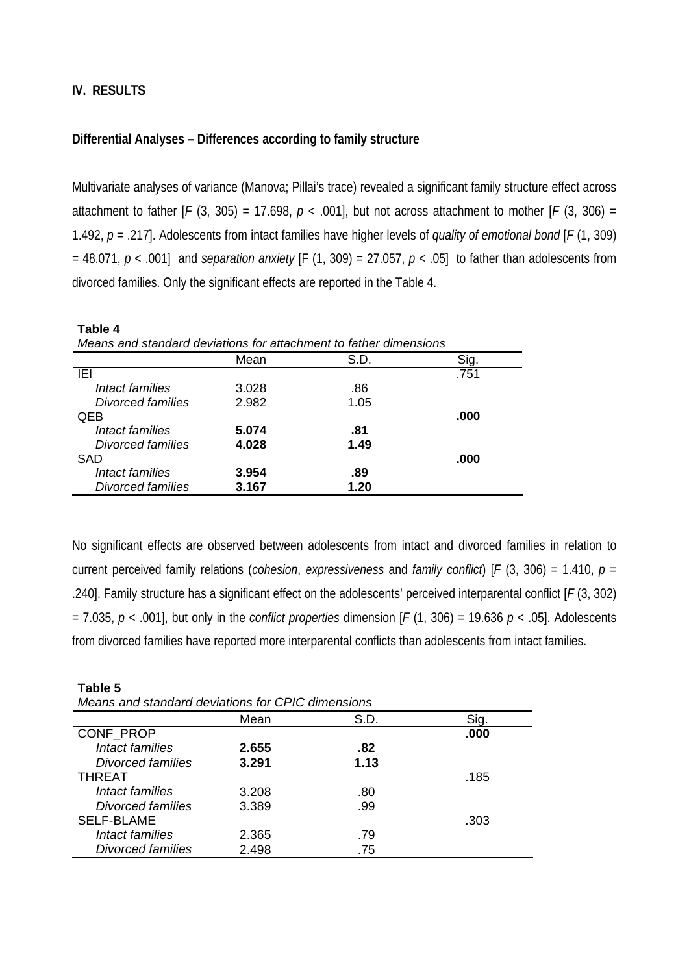**Table 5** 

#### **Differential Analyses – Differences according to family structure**

Multivariate analyses of variance (Manova; Pillai's trace) revealed a significant family structure effect across attachment to father  $[F (3, 305) = 17.698, p < .001]$ , but not across attachment to mother  $[F (3, 306) =$ 1.492, *p* = .217]. Adolescents from intact families have higher levels of *quality of emotional bond* [*F* (1, 309) = 48.071, *p* < .001] and *separation anxiety* [F (1, 309) = 27.057, *p* < .05] to father than adolescents from divorced families. Only the significant effects are reported in the Table 4.

| Table 4                                                           |       |      |      |  |  |  |  |  |
|-------------------------------------------------------------------|-------|------|------|--|--|--|--|--|
| Means and standard deviations for attachment to father dimensions |       |      |      |  |  |  |  |  |
|                                                                   | Mean  | S.D. | Sig. |  |  |  |  |  |
| IEI                                                               |       |      | .751 |  |  |  |  |  |
| Intact families                                                   | 3.028 | .86  |      |  |  |  |  |  |
| Divorced families                                                 | 2.982 | 1.05 |      |  |  |  |  |  |
| <b>QEB</b>                                                        |       |      | .000 |  |  |  |  |  |
| Intact families                                                   | 5.074 | .81  |      |  |  |  |  |  |
| Divorced families                                                 | 4.028 | 1.49 |      |  |  |  |  |  |
| <b>SAD</b>                                                        |       |      | .000 |  |  |  |  |  |
| Intact families                                                   | 3.954 | .89  |      |  |  |  |  |  |
| Divorced families                                                 | 3.167 | 1.20 |      |  |  |  |  |  |

No significant effects are observed between adolescents from intact and divorced families in relation to current perceived family relations (*cohesion*, *expressiveness* and *family conflict*) [*F* (3, 306) = 1.410, *p* = .240]. Family structure has a significant effect on the adolescents' perceived interparental conflict [*F* (3, 302) = 7.035, *p* < .001], but only in the *conflict properties* dimension [*F* (1, 306) = 19.636 *p* < .05]. Adolescents from divorced families have reported more interparental conflicts than adolescents from intact families.

| Means and standard deviations for CPIC dimensions |       |      |      |  |  |  |  |
|---------------------------------------------------|-------|------|------|--|--|--|--|
|                                                   | Mean  | S.D. | Sig. |  |  |  |  |
| CONF PROP                                         |       |      | .000 |  |  |  |  |
| Intact families                                   | 2.655 | .82  |      |  |  |  |  |
| Divorced families                                 | 3.291 | 1.13 |      |  |  |  |  |
| <b>THREAT</b>                                     |       |      | .185 |  |  |  |  |
| <i>Intact families</i>                            | 3.208 | .80  |      |  |  |  |  |
| Divorced families                                 | 3.389 | .99  |      |  |  |  |  |
| <b>SELF-BLAME</b>                                 |       |      | .303 |  |  |  |  |
| Intact families                                   | 2.365 | .79  |      |  |  |  |  |
| <b>Divorced families</b>                          | 2.498 | .75  |      |  |  |  |  |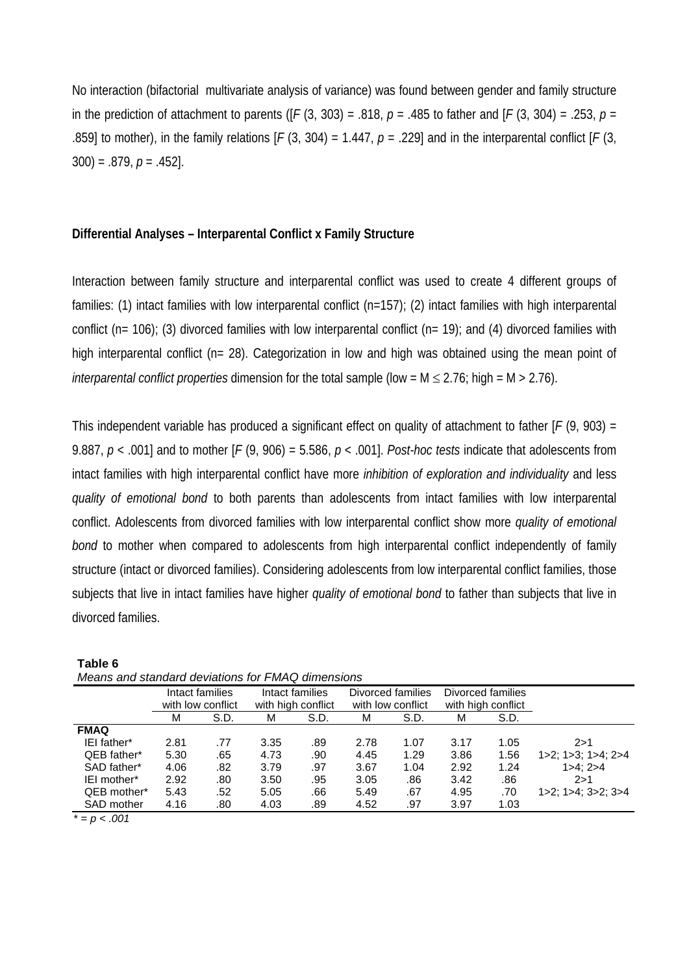No interaction (bifactorial multivariate analysis of variance) was found between gender and family structure in the prediction of attachment to parents ( $[F(3, 303) = .818$ ,  $p = .485$  to father and  $[F(3, 304) = .253$ ,  $p =$ .859] to mother), in the family relations  $[F(3, 304) = 1.447, p = .229]$  and in the interparental conflict  $[F(3, 47, p = .229]$ 300) = .879, *p* = .452].

### **Differential Analyses – Interparental Conflict x Family Structure**

Interaction between family structure and interparental conflict was used to create 4 different groups of families: (1) intact families with low interparental conflict (n=157); (2) intact families with high interparental conflict (n= 106); (3) divorced families with low interparental conflict (n= 19); and (4) divorced families with high interparental conflict (n= 28). Categorization in low and high was obtained using the mean point of *interparental conflict properties* dimension for the total sample (low = M ≤ 2.76; high = M > 2.76).

This independent variable has produced a significant effect on quality of attachment to father [*F* (9, 903) = 9.887,  $p < .001$  and to mother  $\lceil F(9, 906) = 5.586$ ,  $p < .001$ . *Post-hoc tests* indicate that adolescents from intact families with high interparental conflict have more *inhibition of exploration and individuality* and less *quality of emotional bond* to both parents than adolescents from intact families with low interparental conflict. Adolescents from divorced families with low interparental conflict show more *quality of emotional bond* to mother when compared to adolescents from high interparental conflict independently of family structure (intact or divorced families). Considering adolescents from low interparental conflict families, those subjects that live in intact families have higher *quality of emotional bond* to father than subjects that live in divorced families.

| Means and standard deviations for FMAQ dimensions |      |                                      |      |                                       |      |                                        |      |                            |                                       |
|---------------------------------------------------|------|--------------------------------------|------|---------------------------------------|------|----------------------------------------|------|----------------------------|---------------------------------------|
|                                                   |      | Intact families<br>with low conflict |      | Intact families<br>with high conflict |      | Divorced families<br>with low conflict |      | Divorced families          |                                       |
|                                                   | м    | S.D.                                 | M    | S.D.                                  | м    | S.D.                                   | м    | with high conflict<br>S.D. |                                       |
| <b>FMAQ</b>                                       |      |                                      |      |                                       |      |                                        |      |                            |                                       |
| IEI father*                                       | 2.81 | .77                                  | 3.35 | .89                                   | 2.78 | 1.07                                   | 3.17 | 1.05                       | 2 > 1                                 |
| QEB father*                                       | 5.30 | .65                                  | 4.73 | .90                                   | 4.45 | 1.29                                   | 3.86 | 1.56                       | $1 > 2$ ; $1 > 3$ ; $1 > 4$ ; $2 > 4$ |
| SAD father*                                       | 4.06 | .82                                  | 3.79 | .97                                   | 3.67 | 1.04                                   | 2.92 | 1.24                       | 1 > 4: 2 > 4                          |
| IEI mother*                                       | 2.92 | .80                                  | 3.50 | .95                                   | 3.05 | .86                                    | 3.42 | .86                        | 2 > 1                                 |
| QEB mother*                                       | 5.43 | .52                                  | 5.05 | .66                                   | 5.49 | .67                                    | 4.95 | .70                        | $1 > 2$ ; $1 > 4$ ; $3 > 2$ ; $3 > 4$ |
| SAD mother                                        | 4.16 | .80                                  | 4.03 | .89                                   | 4.52 | .97                                    | 3.97 | 1.03                       |                                       |
| $+$ 001                                           |      |                                      |      |                                       |      |                                        |      |                            |                                       |

| Table 6                                           |
|---------------------------------------------------|
| Means and standard deviations for FMAQ dimensions |

 $= p < .001$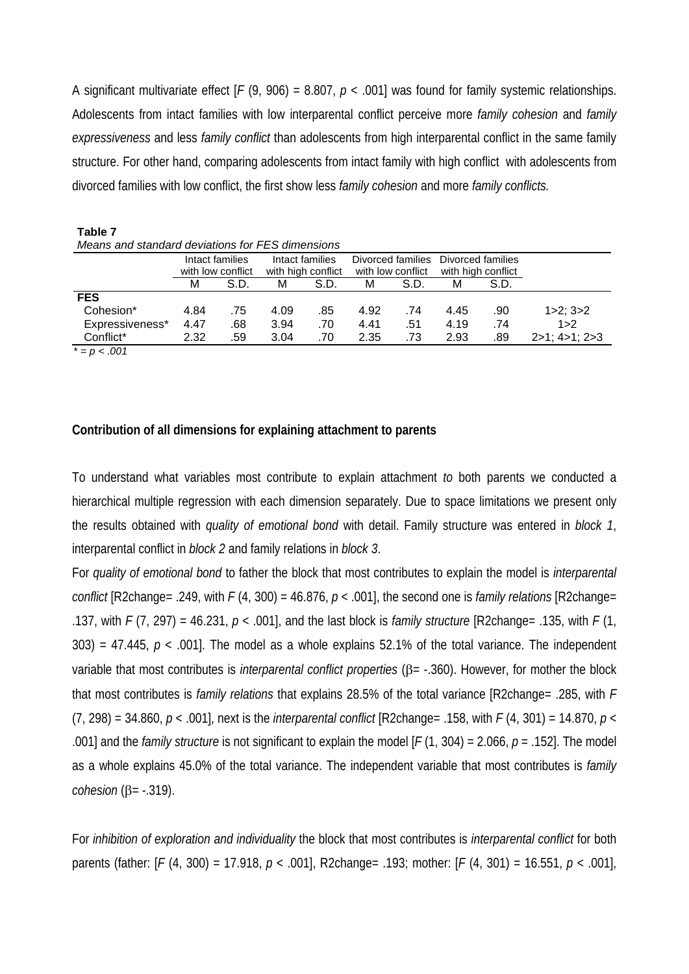A significant multivariate effect [*F* (9, 906) = 8.807, *p* < .001] was found for family systemic relationships. Adolescents from intact families with low interparental conflict perceive more *family cohesion* and *family expressiveness* and less *family conflict* than adolescents from high interparental conflict in the same family structure. For other hand, comparing adolescents from intact family with high conflict with adolescents from divorced families with low conflict, the first show less *family cohesion* and more *family conflicts.*

| Table 7                                          |      |                   |      |                    |      |                   |                    |                   |                         |
|--------------------------------------------------|------|-------------------|------|--------------------|------|-------------------|--------------------|-------------------|-------------------------|
| Means and standard deviations for FES dimensions |      |                   |      |                    |      |                   |                    |                   |                         |
|                                                  |      | Intact families   |      | Intact families    |      | Divorced families |                    | Divorced families |                         |
|                                                  |      | with low conflict |      | with high conflict |      | with low conflict | with high conflict |                   |                         |
|                                                  | м    | S.D.              | м    | S.D.               | м    | S.D.              | м                  | S.D.              |                         |
| <b>FES</b>                                       |      |                   |      |                    |      |                   |                    |                   |                         |
| Cohesion*                                        | 4.84 | .75               | 4.09 | .85                | 4.92 | .74               | 4.45               | .90               | $1 > 2$ ; $3 > 2$       |
| Expressiveness*                                  | 4.47 | .68               | 3.94 | .70                | 4.41 | .51               | 4.19               | .74               | 1 > 2                   |
| Conflict*                                        | 2.32 | .59               | 3.04 | .70                | 2.35 | .73               | 2.93               | .89               | $2>1$ ; 4 $>1$ ; 2 $>3$ |
| $\sim$ $\sim$ $\sim$                             |      |                   |      |                    |      |                   |                    |                   |                         |

 $= p < .001$ 

# **Contribution of all dimensions for explaining attachment to parents**

To understand what variables most contribute to explain attachment *to* both parents we conducted a hierarchical multiple regression with each dimension separately. Due to space limitations we present only the results obtained with *quality of emotional bond* with detail. Family structure was entered in *block 1*, interparental conflict in *block 2* and family relations in *block 3*.

For *quality of emotional bond* to father the block that most contributes to explain the model is *interparental conflict* [R2change= .249, with  $F(4, 300) = 46.876$ ,  $p < .001$ ], the second one is *family relations* [R2change= .137, with *F* (7, 297) = 46.231, *p* < .001], and the last block is *family structure* [R2change= .135, with *F* (1, 303) = 47.445,  $p < .001$ ]. The model as a whole explains 52.1% of the total variance. The independent variable that most contributes is *interparental conflict properties* (β= -.360). However, for mother the block that most contributes is *family relations* that explains 28.5% of the total variance [R2change= .285, with *F* (7, 298) = 34.860, *p* < .001], next is the *interparental conflict* [R2change= .158, with *F* (4, 301) = 14.870, *p* < .001] and the *family structure* is not significant to explain the model [*F* (1, 304) = 2.066, *p* = .152]. The model as a whole explains 45.0% of the total variance. The independent variable that most contributes is *family cohesion* (β= -.319).

For *inhibition of exploration and individuality* the block that most contributes is *interparental conflict* for both parents (father: [*F* (4, 300) = 17.918, *p* < .001], R2change= .193; mother: [*F* (4, 301) = 16.551, *p* < .001],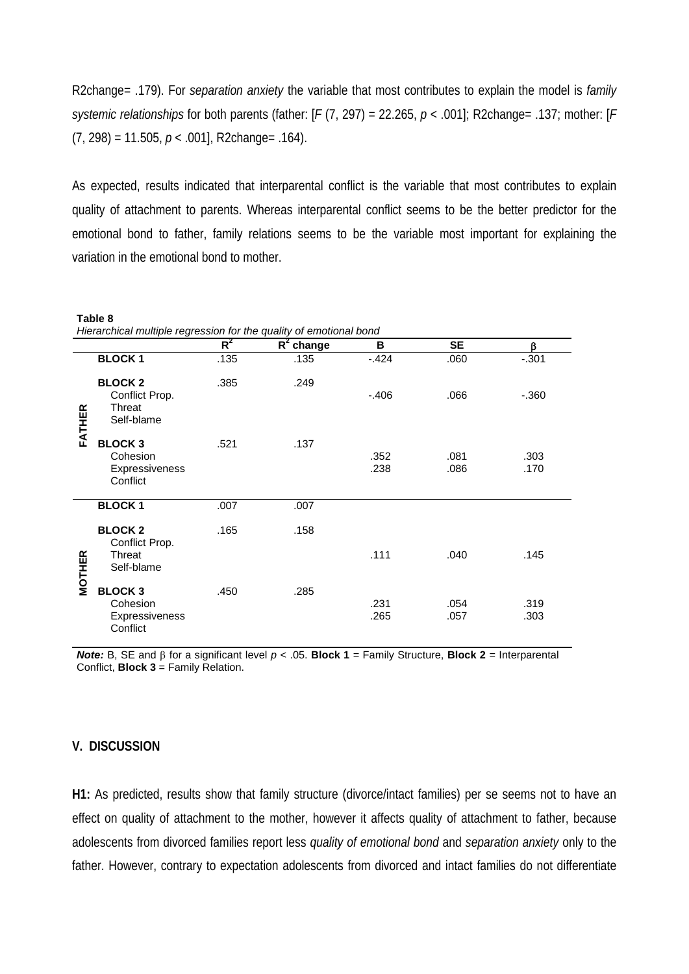R2change= .179). For *separation anxiety* the variable that most contributes to explain the model is *family systemic relationships* for both parents (father: [*F* (7, 297) = 22.265, *p* < .001]; R2change= .137; mother: [*F* (7, 298) = 11.505, *p* < .001], R2change= .164).

As expected, results indicated that interparental conflict is the variable that most contributes to explain quality of attachment to parents. Whereas interparental conflict seems to be the better predictor for the emotional bond to father, family relations seems to be the variable most important for explaining the variation in the emotional bond to mother.

|               | Table 8<br>Hierarchical multiple regression for the quality of emotional bond |       |              |              |              |              |  |  |  |
|---------------|-------------------------------------------------------------------------------|-------|--------------|--------------|--------------|--------------|--|--|--|
|               |                                                                               | $R^2$ | $R^2$ change | В            | <b>SE</b>    | β            |  |  |  |
|               | <b>BLOCK1</b>                                                                 | .135  | .135         | $-424$       | .060         | $-.301$      |  |  |  |
| FATHER        | <b>BLOCK2</b><br>Conflict Prop.<br>Threat<br>Self-blame                       | .385  | .249         | $-.406$      | .066         | $-.360$      |  |  |  |
|               | <b>BLOCK3</b><br>Cohesion<br>Expressiveness<br>Conflict                       | .521  | .137         | .352<br>.238 | .081<br>.086 | .303<br>.170 |  |  |  |
|               | <b>BLOCK1</b>                                                                 | .007  | .007         |              |              |              |  |  |  |
|               | <b>BLOCK2</b><br>Conflict Prop.                                               | .165  | .158         |              |              |              |  |  |  |
| <b>MOTHER</b> | Threat<br>Self-blame                                                          |       |              | .111         | .040         | .145         |  |  |  |
|               | <b>BLOCK3</b><br>Cohesion<br>Expressiveness<br>Conflict                       | .450  | .285         | .231<br>.265 | .054<br>.057 | .319<br>.303 |  |  |  |

*Note:* B, SE and β for a significant level *p* < .05. **Block 1** = Family Structure, **Block 2** = Interparental Conflict, **Block 3** = Family Relation.

#### **V. DISCUSSION**

**Table 8** 

**H1:** As predicted, results show that family structure (divorce/intact families) per se seems not to have an effect on quality of attachment to the mother, however it affects quality of attachment to father, because adolescents from divorced families report less *quality of emotional bond* and *separation anxiety* only to the father. However, contrary to expectation adolescents from divorced and intact families do not differentiate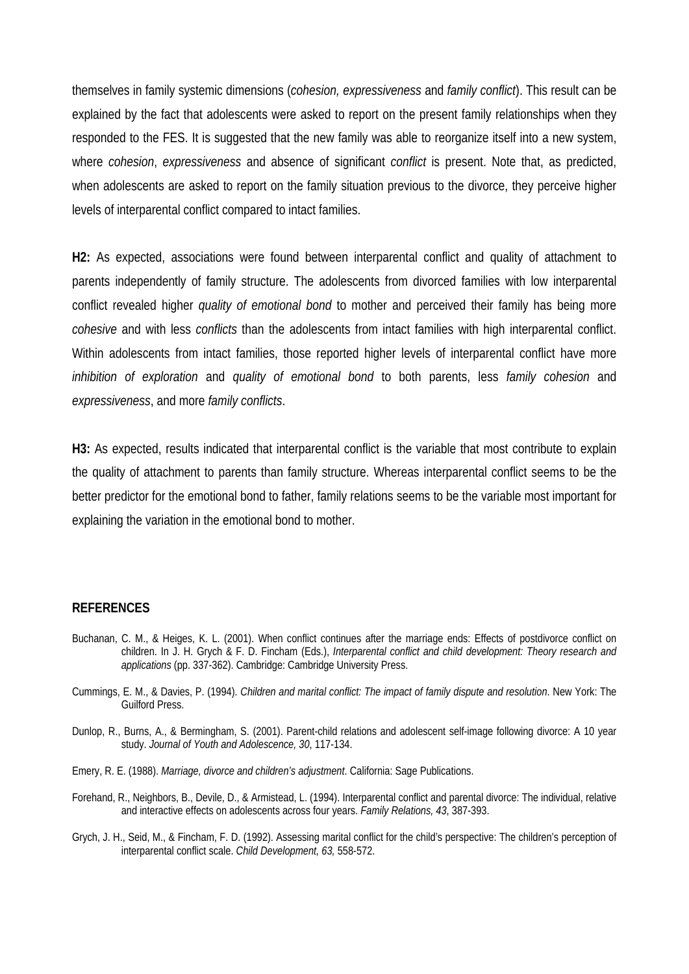themselves in family systemic dimensions (*cohesion, expressiveness* and *family conflict*). This result can be explained by the fact that adolescents were asked to report on the present family relationships when they responded to the FES. It is suggested that the new family was able to reorganize itself into a new system, where *cohesion*, *expressiveness* and absence of significant *conflict* is present. Note that, as predicted, when adolescents are asked to report on the family situation previous to the divorce, they perceive higher levels of interparental conflict compared to intact families.

**H2:** As expected, associations were found between interparental conflict and quality of attachment to parents independently of family structure. The adolescents from divorced families with low interparental conflict revealed higher *quality of emotional bond* to mother and perceived their family has being more *cohesive* and with less *conflicts* than the adolescents from intact families with high interparental conflict. Within adolescents from intact families, those reported higher levels of interparental conflict have more *inhibition of exploration* and *quality of emotional bond* to both parents, less *family cohesion* and *expressiveness*, and more *family conflicts*.

**H3:** As expected, results indicated that interparental conflict is the variable that most contribute to explain the quality of attachment to parents than family structure. Whereas interparental conflict seems to be the better predictor for the emotional bond to father, family relations seems to be the variable most important for explaining the variation in the emotional bond to mother.

#### **REFERENCES**

- Buchanan, C. M., & Heiges, K. L. (2001). When conflict continues after the marriage ends: Effects of postdivorce conflict on children. In J. H. Grych & F. D. Fincham (Eds.), *Interparental conflict and child development: Theory research and applications* (pp. 337-362). Cambridge: Cambridge University Press.
- Cummings, E. M., & Davies, P. (1994). *Children and marital conflict: The impact of family dispute and resolution*. New York: The Guilford Press.
- Dunlop, R., Burns, A., & Bermingham, S. (2001). Parent-child relations and adolescent self-image following divorce: A 10 year study. *Journal of Youth and Adolescence, 30*, 117-134.
- Emery, R. E. (1988). *Marriage, divorce and children's adjustment*. California: Sage Publications.
- Forehand, R., Neighbors, B., Devile, D., & Armistead, L. (1994). Interparental conflict and parental divorce: The individual, relative and interactive effects on adolescents across four years. *Family Relations, 43*, 387-393.
- Grych, J. H., Seid, M., & Fincham, F. D. (1992). Assessing marital conflict for the child's perspective: The children's perception of interparental conflict scale. *Child Development, 63,* 558-572.